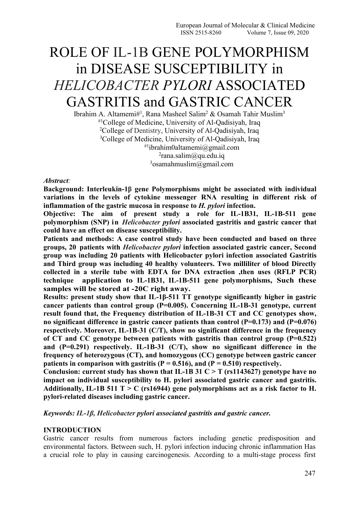# ROLE OF IL-1Β GENE POLYMORPHISM in DISEASE SUSCEPTIBILITY in *HELICOBACTER PYLORI* ASSOCIATED GASTRITIS and GASTRIC CANCER

Ibrahim A. Altamemi#<sup>1</sup>, Rana Masheel Salim<sup>2</sup> & Osamah Tahir Muslim<sup>3</sup> #1College of Medicine, University of Al-Qadisiyah, Iraq <sup>2</sup>College of Dentistry, University of Al-Qadisiyah, Iraq <sup>3</sup>College of Medicine, University of Al-Qadisiyah, Iraq #1 [ibrahim0altamemi@gmail.com](mailto:ibrahim0altamemi@gmail.com)  $2$ [rana.salim@qu.edu.iq](mailto:rana.salim@qu.edu.iq)  $3$ osamahmuslim@gmail.com

#### *Abstract:*

**Background: Interleukin-1β gene Polymorphisms might be associated with individual variations in the levels of cytokine messenger RNA resulting in different risk of inflammation of the gastric mucosa in response to** *H. pylori* **infection.**

**Objective: The aim of present study a role for IL-1B31, IL-1B-511 gene polymorphism (SNP) in** *Helicobacter pylori* **associated gastritis and gastric cancer that could have an effect on disease susceptibility.**

**Patients and methods: A case control study have been conducted and based on three groups, 20 patients with** *Helicobacter pylori* **infection associated gastric cancer, Second group was including 20 patients with Helicobacter pylori infection associated Gastritis and Third group was including 40 healthy volunteers. Two milliliter of blood Directly collected in asterile tube with EDTA for DNA extraction ,then uses (RFLP PCR) technique application to IL-1B31, IL-1B-511 gene polymorphisms, Such these samples willbe stored at -20C right away.**

**Results: present study show that IL-1β-511 TT genotype significantly higher in gastric cancer patients than control group (P=0.005). Concerning IL-1B-31 genotype, current result found that, the Frequency distribution of IL-1B-31 CT and CC genotypes show, no significant difference in gastric cancer patients than control (P=0.173) and (P=0.076) respectively. Moreover, IL-1B-31 (C/T), show no significant difference in the frequency of CT and CC genotype between patients with gastritis than control group (P=0.522) and (P=0.291) respectively. IL-1B-31 (C/T), show no significant difference in the frequency of heterozygous (CT), and homozygous (CC) genotype between gastric cancer patients** in comparison with gastritis  $(P = 0.516)$ , and  $(P = 0.510)$  respectively.

**Conclusion: current study has shown that IL-1B 31 C > T (rs1143627) genotype have no impact on individual susceptibility to H. pylori associated gastric cancer and gastritis. Additionally, IL-1B 511 T > C (rs16944) gene polymorphisms act as a risk factor to H. pylori-related diseases including gastric cancer.**

*Keywords: IL-1β, Helicobacter pylori associated gastritis and gastric cancer.*

# **INTRODUCTION**

Gastric cancer results from numerous factors including genetic predisposition and environmental factors. Between such, H. pylori infection inducing chronic inflammation Has a crucial role to play in causing carcinogenesis. According to a multi-stage process first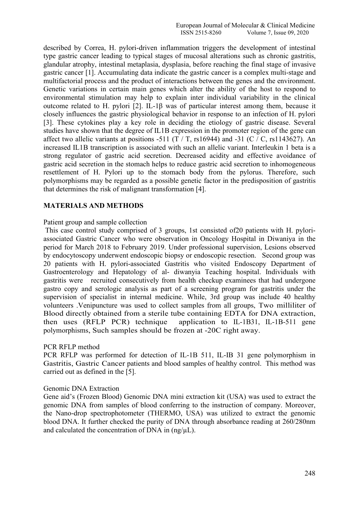described by Correa, H. pylori-driven inflammation triggers the development of intestinal type gastric cancer leading to typical stages of mucosal alterations such as chronic gastritis, glandular atrophy, intestinal metaplasia, dysplasia, before reaching the final stage of invasive gastric cancer [1]. Accumulating data indicate the gastric cancer is a complex multi-stage and multifactorial process and the product of interactions between the genes and the environment. Genetic variations in certain main genes which alter the ability of the host to respond to environmental stimulation may help to explain inter individual variability in the clinical outcome related to H. pylori [2]. IL-1 $\beta$  was of particular interest among them, because it closely influences the gastric physiological behavior in response to an infection of H. pylori [3]. These cytokines play a key role in deciding the etiology of gastric disease. Several studies have shown that the degree of IL1B expression in the promoter region of the gene can affect two allelic variants at positions -511 (T / T,  $rs16944$ ) and -31 (C / C,  $rs1143627$ ). An increased IL1B transcription is associated with such an allelic variant. Interleukin 1 beta is a strong regulator of gastric acid secretion. Decreased acidity and effective avoidance of gastric acid secretion in the stomach helps to reduce gastric acid secretion to inhomogeneous resettlement of H. Pylori up to the stomach body from the pylorus. Therefore, such polymorphisms may be regarded as a possible genetic factor in the predisposition of gastritis that determines the risk of malignant transformation [4].

# **MATERIALS AND METHODS**

#### Patient group and sample collection

This case control study comprised of 3 groups, 1st consisted of20 patients with H. pylori associated Gastric Cancer who were observation in Oncology Hospital in Diwaniya in the period for March 2018 to February 2019. Under professional supervision, Lesions observed by endocytoscopy underwent endoscopic biopsy or endoscopic resection. Second group was 20 patients with H. pylori-associated Gastritis who visited Endoscopy Department of Gastroenterology and Hepatology of al-diwanyia Teaching hospital. Individuals with gastritis were recruited consecutively from health checkup examinees that had undergone gastro copy and serologic analysis as part of a screening program for gastritis under the supervision of specialist in internal medicine. While, 3rd group was include 40 healthy volunteers . Venipuncture was used to collect samples from all groups, Two milliliter of Blood directly obtained from a sterile tube containing EDTA for DNA extraction, then uses (RFLP PCR) technique application to IL-1B31, IL-1B-511 gene polymorphisms, Such samples should be frozen at -20C right away.

# PCR RFLP method

PCR RFLP was performed for detection of IL-1B 511, IL-IB 31 gene polymorphism in Gastritis, Gastric Cancer patients and blood samples of healthy control. This method was carried out as defined in the [5].

#### Genomic DNA Extraction

Gene aid's (Frozen Blood) Genomic DNA mini extraction kit (USA) was used to extract the genomic DNA from samples of blood conferring to the instruction of company. Moreover, the Nano-drop spectrophotometer (THERMO, USA) was utilized to extract the genomic blood DNA. It further checked the purity of DNA through absorbance reading at 260/280nm and calculated the concentration of DNA in  $(ng/\mu L)$ .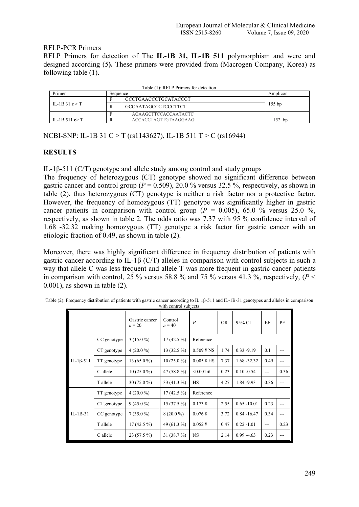# RFLP-PCR Primers

RFLP Primers for detection of The **IL-1B 31, IL-1B 511** polymorphism and were and designed according (5**).** These primers were provided from (Macrogen Company, Korea) as following table (1).

|                         |          | Table (T): RFLP Primers for detection |          |  |
|-------------------------|----------|---------------------------------------|----------|--|
| Primer                  | Sequence |                                       | Amplicon |  |
|                         |          | GCCTGAACCCTGCATACCGT                  |          |  |
| IL-1B 31 $c > T$        | R        | <b>GCCAATAGCCCTCCCTTCT</b>            | $155$ bp |  |
|                         |          | AGAAGCTTCCACCAATACTC                  |          |  |
| IL-1B 511 $\epsilon$ >T |          | ACCACCTAGTTGTAAGGAAG                  | 152 bp   |  |

 $Table (1)$ : RFLP Primers

NCBI-SNP: IL-1B 31 C > T (rs1143627), IL-1B 511 T > C (rs16944)

# **RESULTS**

IL-1β-511 (C/T) genotype and allele study among control and study groups

The frequency of heterozygous (CT) genotype showed no significant difference between gastric cancer and control group ( $P = 0.509$ ), 20.0 % versus 32.5 %, respectively, as shown in table  $(2)$ , thus heterozygous  $(CT)$  genotype is neither a risk factor nor a protective factor. However, the frequency of homozygous (TT) genotype was significantly higher in gastric cancer patients in comparison with control group  $(P = 0.005)$ , 65.0 % versus 25.0 %, respectively, as shown in table 2. The odds ratio was 7.37 with 95 % confidence interval of 1.68 -32.32 making homozygous (TT) genotype a risk factor for gastric cancer with an etiologic fraction of 0.49, as shown in table (2).

Moreover, there was highly significant difference in frequency distribution of patients with gastric cancer according to IL-1β (C/T) alleles in comparison with control subjects in such a way that allele C was less frequent and allele T was more frequent in gastric cancer patients in comparison with control, 25 % versus 58.8 % and 75 % versus 41.3 %, respectively,  $(P \leq$ 0.001), as shown in table (2).

|                   |             | Gastric cancer<br>$n = 20$ | Control<br>$n = 40$ | $\boldsymbol{P}$                                                                                                 | <b>OR</b> | 95% CI         | EF                | PF             |  |  |
|-------------------|-------------|----------------------------|---------------------|------------------------------------------------------------------------------------------------------------------|-----------|----------------|-------------------|----------------|--|--|
|                   | CC genotype | $3(15.0\%)$                | $17(42.5\%)$        | Reference                                                                                                        |           |                |                   |                |  |  |
|                   | CT genotype | $4(20.0\%)$                | $13(32.5\%)$        | $0.509 \text{ }^{\circ}\text{ }^{\circ}\text{ }^{\circ}\text{ }^{\circ}\text{ }^{\circ}\text{ }^{\circ}\text{ }$ | 1.74      | $0.33 - 9.19$  | 0.1               | $---$          |  |  |
| IL-1 $\beta$ -511 | TT genotype | $13(65.0\%)$               | $10(25.0\%)$        | $0.005 \text{ } \frac{1}{2}$ HS                                                                                  | 7.37      | $1.68 - 32.32$ | 0.49              | $---$          |  |  |
|                   | C allele    | $10(25.0\%)$               | 47 $(58.8\%)$       | $< 0.001 \;$ ¥                                                                                                   | 0.23      | $0.10 - 0.54$  | $---$             | 0.36           |  |  |
|                   | T allele    | $30(75.0\%)$               | 33 (41.3 %)         | <b>HS</b>                                                                                                        | 4.27      | 1.84 - 9.93    | 0.36              | $---$          |  |  |
|                   | TT genotype | $4(20.0\%)$                | $17(42.5\%)$        | Reference                                                                                                        |           |                |                   |                |  |  |
|                   | CT genotype | $9(45.0\%)$                | $15(37.5\%)$        | $0.173 \frac{1}{2}$                                                                                              | 2.55      | $0.65 - 10.01$ | 0.23              | $\overline{a}$ |  |  |
| $IL-1B-31$        | CC genotype | $7(35.0\%)$                | $8(20.0\%)$         | $0.076 \frac{1}{3}$                                                                                              | 3.72      | $0.84 - 16.47$ | 0.34              | $---$          |  |  |
|                   | T allele    | $17(42.5\%)$               | 49 (61.3 %)         | $0.052 \frac{1}{3}$                                                                                              | 0.47      | $0.22 - 1.01$  | $\qquad \qquad -$ | 0.23           |  |  |
|                   | C allele    | $23(57.5\%)$               | 31(38.7%)           | <b>NS</b>                                                                                                        | 2.14      | $0.99 - 4.63$  | 0.23              | $---$          |  |  |

| Table (2): Frequency distribution of patients with gastric cancer according to IL.1 $\beta$ -511 and IL-1B-31 genotypes and alleles in comparison |  |
|---------------------------------------------------------------------------------------------------------------------------------------------------|--|
| with control subjects                                                                                                                             |  |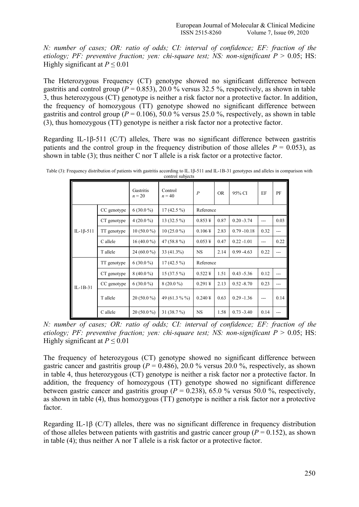*N: number of cases; OR: ratio of odds; CI: interval of confidence; EF: fraction of the etiology; PF: preventive fraction; yen: chi-square test; NS: non-significant*  $P > 0.05$ ; HS: Highly significant at  $P \le 0.01$ 

The Heterozygous Frequency (CT) genotype showed no significant difference between gastritis and control group ( $P = 0.853$ ), 20.0 % versus 32.5 %, respectively, as shown in table 3, thus heterozygous (CT) genotype is neither a risk factor nor a protective factor. In addition, the frequency of homozygous (TT) genotype showed no significant difference between gastritis and control group ( $P = 0.106$ ), 50.0 % versus 25.0 %, respectively, as shown in table (3), thus homozygous (TT) genotype is neither a risk factor nor a protective factor.

Regarding IL-1β-511 (C/T) alleles, There was no significant difference between gastritis patients and the control group in the frequency distribution of those alleles  $P = 0.053$ ), as shown in table (3); thus neither C nor T allele is a risk factor or a protective factor.

|                   |             |                       | $\cdots$            |                     |           |                |                |                |  |  |
|-------------------|-------------|-----------------------|---------------------|---------------------|-----------|----------------|----------------|----------------|--|--|
|                   |             | Gastritis<br>$n = 20$ | Control<br>$n = 40$ | $\boldsymbol{P}$    | <b>OR</b> | 95% CI         | EF             | PF             |  |  |
|                   | CC genotype | $6(30.0\%)$           | $17(42.5\%)$        |                     | Reference |                |                |                |  |  |
|                   | CT genotype | $4(20.0\%)$           | $13(32.5\%)$        | $0.853 \frac{1}{2}$ | 0.87      | $0.20 - 3.74$  | $---$          | 0.03           |  |  |
| IL-1 $\beta$ -511 | TT genotype | $10(50.0\%)$          | $10(25.0\%)$        | $0.106 \frac{1}{3}$ | 2.83      | $0.79 - 10.18$ | 0.32           | $---$          |  |  |
|                   | C allele    | 16 (40.0 %)           | 47 $(58.8\%)$       | $0.053 \frac{1}{5}$ | 0.47      | $0.22 - 1.01$  | ---            | 0.22           |  |  |
|                   | T allele    | 24 (60.0 %)           | 33 (41.3%)          | <b>NS</b>           | 2.14      | $0.99 - 4.63$  | 0.22           | ---            |  |  |
|                   | TT genotype | $6(30.0\%)$           | $17(42.5\%)$        | Reference           |           |                |                |                |  |  |
|                   | CT genotype | $8(40.0\%)$           | $15(37.5\%)$        | $0.522 \frac{1}{2}$ | 1.51      | $0.43 - 5.36$  | 0.12           | $\overline{a}$ |  |  |
| $IL-1B-31$        | CC genotype | $6(30.0\%)$           | $8(20.0\%)$         | $0.291 \frac{1}{2}$ | 2.13      | $0.52 - 8.70$  | 0.23           | ---            |  |  |
|                   | T allele    | $20(50.0\%)$          | 49 (61.3 % %)       | $0.240 \frac{1}{3}$ | 0.63      | $0.29 - 1.36$  | $\overline{a}$ | 0.14           |  |  |
|                   | C allele    | $20(50.0\%)$          | $31(38.7\%)$        | <b>NS</b>           | 1.58      | $0.73 - 3.40$  | 0.14           | ---            |  |  |

Table (3): Frequency distribution of patients with gastritis according to IL.1β-511 and IL-1B-31 genotypes and alleles in comparison with control subjects

*N: number of cases; OR: ratio of odds; CI: interval of confidence; EF: fraction of the etiology; PF: preventive fraction; yen: chi-square test; NS: non-significant*  $P > 0.05$ ; HS: Highly significant at  $P \le 0.01$ 

The frequency of heterozygous (CT) genotype showed no significant difference between gastric cancer and gastritis group ( $P = 0.486$ ), 20.0 % versus 20.0 %, respectively, as shown in table 4, thus heterozygous (CT) genotype is neither a risk factor nor a protective factor. In addition, the frequency of homozygous (TT) genotype showed no significant difference between gastric cancer and gastritis group ( $P = 0.238$ ), 65.0 % versus 50.0 %, respectively, as shown in table (4), thus homozygous (TT) genotype is neither a risk factor nor a protective factor.

Regarding IL-1β (C/T) alleles, there was no significant difference in frequency distribution of those alleles between patients with gastritis and gastric cancer group ( $P = 0.152$ ), as shown in table (4); thus neither A nor T allele is a risk factor or a protective factor.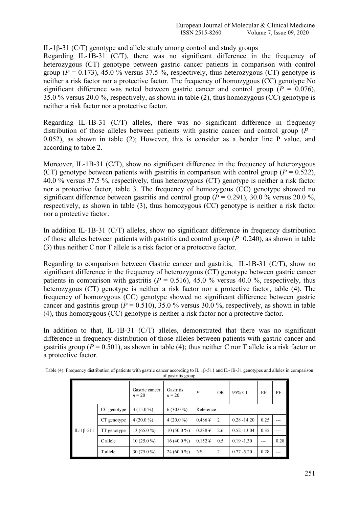# IL-1β-31 (C/T) genotype and allele study among control and study groups

Regarding IL-1B-31 (C/T), there was no significant difference in the frequency of heterozygous (CT) genotype between gastric cancer patients in comparison with control group ( $P = 0.173$ ), 45.0 % versus 37.5 %, respectively, thus heterozygous (CT) genotype is neither a risk factor nor a protective factor. The frequency of homozygous (CC) genotype No significant difference was noted between gastric cancer and control group ( $P = 0.076$ ), 35.0 % versus 20.0 %, respectively, as shown in table (2), thus homozygous (CC) genotype is neither a risk factor nor a protective factor.

Regarding IL-1B-31 (C/T) alleles, there was no significant difference in frequency distribution of those alleles between patients with gastric cancer and control group ( $P =$ 0.052), as shown in table (2); However, this is consider as a border line P value, and according to table 2.

Moreover, IL-1B-31 (C/T), show no significant difference in the frequency of heterozygous (CT) genotype between patients with gastritis in comparison with control group ( $P = 0.522$ ), 40.0 % versus 37.5 %, respectively, thus heterozygous (CT) genotype is neither a risk factor nor a protective factor, table 3. The frequency of homozygous (CC) genotype showed no significant difference between gastritis and control group  $(P = 0.291)$ , 30.0 % versus 20.0 %, respectively, as shown in table  $(3)$ , thus homozygous  $(CC)$  genotype is neither a risk factor nor a protective factor.

In addition IL-1B-31 (C/T) alleles, show no significant difference in frequency distribution of those alleles between patients with gastritis and control group (*P*=0.240), as shown in table (3) thus neither C nor T allele is a risk factor or a protective factor.

Regarding to comparison between Gastric cancer and gastritis, IL-1B-31 (C/T), show no significant difference in the frequency of heterozygous (CT) genotype between gastric cancer patients in comparison with gastritis ( $P = 0.516$ ), 45.0 % versus 40.0 %, respectively, thus heterozygous (CT) genotype is neither a risk factor nor a protective factor, table (4). The frequency of homozygous (CC) genotype showed no significant difference between gastric cancer and gastritis group ( $P = 0.510$ ), 35.0 % versus 30.0 %, respectively, as shown in table (4), thus homozygous (CC) genotype is neither a risk factor nor a protective factor.

In addition to that, IL-1B-31 (C/T) alleles, demonstrated that there was no significant difference in frequency distribution of those alleles between patients with gastric cancer and gastritis group ( $P = 0.501$ ), as shown in table (4); thus neither C nor T allele is a risk factor or a protective factor.

|                 |             | Gastric cancer<br>$n = 20$ | Gastritis<br>$n = 20$ | $\boldsymbol{P}$    | <b>OR</b>      | 95% CI         | EF    | PF    |
|-----------------|-------------|----------------------------|-----------------------|---------------------|----------------|----------------|-------|-------|
|                 | CC genotype | $3(15.0\%)$                | $6(30.0\%)$           | Reference           |                |                |       |       |
|                 | CT genotype | $4(20.0\%)$                | $4(20.0\%)$           | $0.486\,\text{\AA}$ | 2              | $0.28 - 14.20$ | 0.25  | $---$ |
| $IL-1\beta-511$ | TT genotype | 13 $(65.0\%)$              | $10(50.0\%)$          | $0.238 \frac{1}{2}$ | 2.6            | $0.52 - 13.04$ | 0.35  | ---   |
|                 | C allele    | $10(25.0\%)$               | $16(40.0\%)$          | $0.152 \frac{1}{2}$ | 0.5            | $0.19 - 1.30$  | $---$ | 0.28  |
|                 | T allele    | $30(75.0\%)$               | 24 (60.0 %)           | <b>NS</b>           | $\overline{2}$ | $0.77 - 5.20$  | 0.28  | ---   |

Table (4): Frequency distribution of patients with gastric cancer according to IL.1β-511 and IL-1B-31 genotypes and alleles in comparison of gastritis group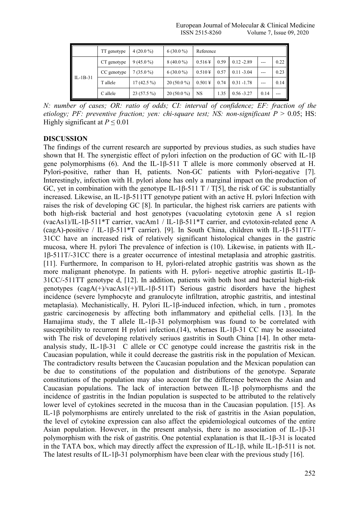|            | TT genotype | $4(20.0\%)$  | $6(30.0\%)$  | Reference           |      |               |       |         |
|------------|-------------|--------------|--------------|---------------------|------|---------------|-------|---------|
|            | CT genotype | $9(45.0\%)$  | $8(40.0\%)$  | $0.516\,\text{\AA}$ | 0.59 | $0.12 - 2.89$ | $---$ | 0.22    |
|            | CC genotype | $7(35.0\%)$  | $6(30.0\%)$  | $0.510 +$           | 0.57 | $0.11 - 3.04$ | $---$ | 0.23    |
| $IL-1B-31$ | T allele    | $17(42.5\%)$ | $20(50.0\%)$ | $0.501 \frac{1}{3}$ | 0.74 | $0.31 - 1.78$ | $---$ | 0.14    |
|            | C allele    | $23(57.5\%)$ | $20(50.0\%)$ | <b>NS</b>           | 1.35 | $0.56 - 3.27$ | 0.14  | $- - -$ |

*N: number of cases; OR: ratio of odds; CI: interval of confidence; EF: fraction of the etiology; PF: preventive fraction; yen: chi-square test; NS: non-significant*  $P > 0.05$ ; HS: Highly significant at  $P \le 0.01$ 

# **DISCUSSION**

The findings of the current research are supported by previous studies, as such studies have shown that H. The synergistic effect of pylori infection on the production of GC with IL-1 $\beta$ gene polymorphisms (6). And the IL-1 $\beta$ -511 T allele is more commonly observed at H. Pylori-positive, rather than H, patients. Non-GC patients with Pylori-negative [7]. Interestingly, infection with H. pylori alone has only a marginal impact on the production of GC, yet in combination with the genotype IL-1β-511 T / T[5], the risk of GC is substantially increased. Likewise, an IL-1β-511TT genotype patient with an active H. pylori Infection with raises the risk of developing GC [8]. In particular, the highest risk carriers are patients with both high-risk bacterial and host genotypes (vacuolating cytotoxin gene A s1 region (vacAs1)/IL-1β-511\*T carrier, vacAm1 / IL-1β-511\*T carrier, and cytotoxin-related gene A (cagA)-positive / IL-1β-511\*T carrier). [9]. In South China, children with IL-1β-511TT/- 31CC have an increased risk of relatively significant histological changes in the gastric mucosa, where H. pylori The prevalence of infection is (10). Likewise, in patients with IL-  $1\beta$ -511T/-31CC there is a greater occurrence of intestinal metaplasia and atrophic gastritis. [11]. Furthermore, In comparison to H, pylori-related atrophic gastritis was shown as the more malignant phenotype. In patients with H. pylori- negetive atrophic gastirtis IL-1β- 31CC/-511TT genotype d, [12]. In addition, patients with both host and bacterial high-risk genotypes  $(cagA(+)/vacAs1(+)/IL-1\beta-511T)$  Serious gastric disorders have the highest incidence (severe lymphocyte and granulocyte infiltration, atrophic gastritis, and intestinal metaplasia). Mechanistically, H. Pylori IL-1β-induced infection, which, in turn , promotes gastric carcinogenesis by affecting both inflammatory and epithelial cells. [13]. In the Hamajima study, the T allele IL-1β-31 polymorphism was found to be correlated with susceptibility to recurrent H pylori infection.(14), wheraes IL-1β-31 CC may be associated with The risk of developing relatively seriuos gastritis in South China [14]. In other metaanalysis study, IL-1β-31 C allele or CC genotype could increase the gastritis risk in the Caucasian population, while it could decrease the gastritis risk in the population of Mexican. The contradictory results between the Caucasian population and the Mexican population can be due to constitutions of the population and distributions of the genotype. Separate constitutions of the population may also account for the difference between the Asian and Caucasian populations. The lack of interaction between IL-1β polymorphisms and the incidence of gastritis in the Indian population is suspected to be attributed to the relatively lower level of cytokines secreted in the mucosa than in the Caucasian population. [15]. As IL-1β polymorphisms are entirely unrelated to the risk of gastritis in the Asian population, the level of cytokine expression can also affect the epidemiological outcomes of the entire Asian population. However, in the present analysis, there is no association of  $IL-1\beta-31$ polymorphism with the risk of gastritis. One potential explanation is that IL-1β-31 is located in the TATA box, which may directly affect the expression of IL-1β, while IL-1β-511 is not. The latest results of IL-1β-31 polymorphism have been clear with the previous study [16].